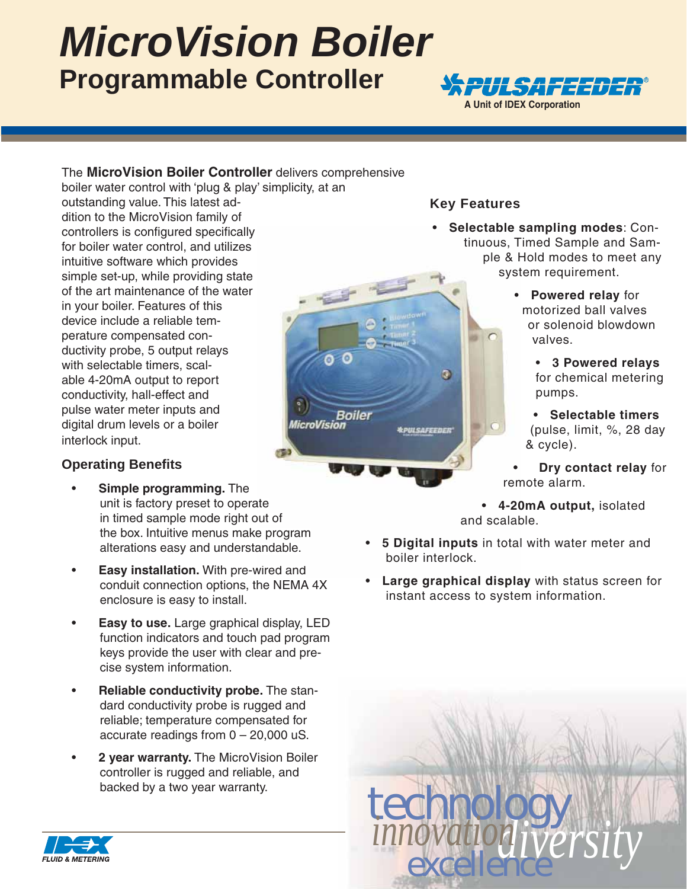# *MicroVision Boiler* **Programmable Controller**



#### The **MicroVision Boiler Controller** delivers comprehensive boiler water control with 'plug & play' simplicity, at an

outstanding value. This latest addition to the MicroVision family of controllers is configured specifically for boiler water control, and utilizes intuitive software which provides simple set-up, while providing state of the art maintenance of the water in your boiler. Features of this device include a reliable temperature compensated conductivity probe, 5 output relays with selectable timers, scalable 4-20mA output to report conductivity, hall-effect and pulse water meter inputs and digital drum levels or a boiler interlock input.

#### **Operating Benefi ts**

- **Simple programming.** The unit is factory preset to operate in timed sample mode right out of the box. Intuitive menus make program alterations easy and understandable.
- alterations easy and understandable.<br> **Easy installation.** With pre-wired and conduit connection options, the NEMA 4X enclosure is easy to install.
- **Easy to use.** Large graphical display, LED function indicators and touch pad program keys provide the user with clear and precise system information.
- **Reliable conductivity probe.** The standard conductivity probe is rugged and reliable; temperature compensated for accurate readings from 0 – 20,000 uS.
- **2 year warranty.** The MicroVision Boiler controller is rugged and reliable, and backed by a two year warranty.

### **Key Features**

**Boiler** 

*<u><i><b>APULSAFEEDER</u>*</u>

**MicroVision** 

- **Selectable sampling modes**: Continuous, Timed Sample and Sample & Hold modes to meet any system requirement.
	- **Powered relay** for motorized ball valves or solenoid blowdown valves.
		- **3 Powered relays** for chemical metering pumps.
		- **Selectable timers** (pulse, limit, %, 28 day & cycle).
	- **Dry contact relay for** remote alarm.

• **4-20mA output,** isolated and scalable.

- **5 Digital inputs** in total with water meter and boiler interlock.
- **Large graphical display** with status screen for instant access to system information.



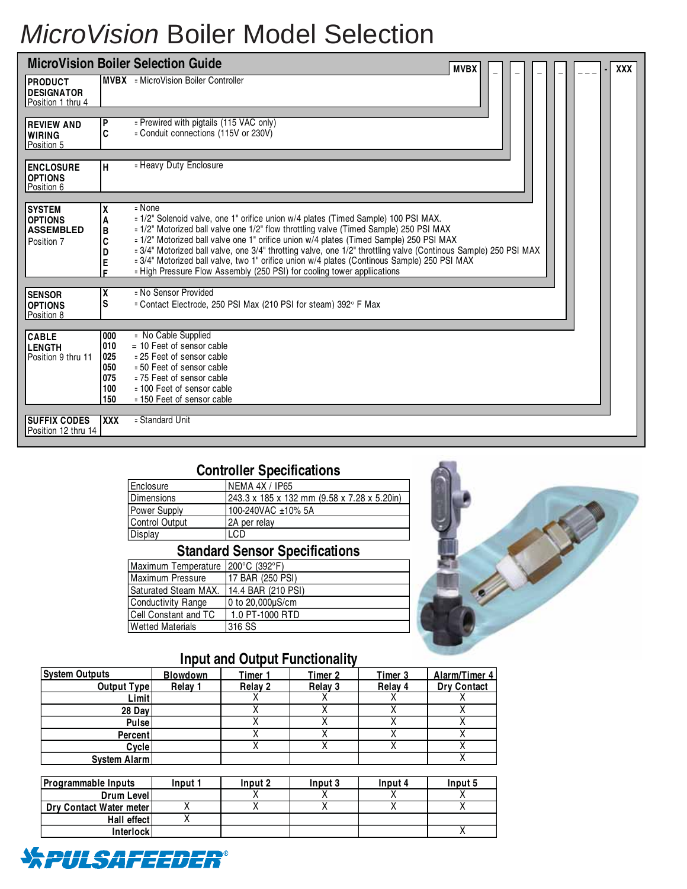# *MicroVision* Boiler Model Selection

| <b>MicroVision Boiler Selection Guide</b><br><b>MVBX</b><br><b>XXX</b> |                                               |                                                                                                                                                                                                                                                                                                                                                                                                                                                                                                                                                                                |  |  |  |  |
|------------------------------------------------------------------------|-----------------------------------------------|--------------------------------------------------------------------------------------------------------------------------------------------------------------------------------------------------------------------------------------------------------------------------------------------------------------------------------------------------------------------------------------------------------------------------------------------------------------------------------------------------------------------------------------------------------------------------------|--|--|--|--|
| <b>PRODUCT</b><br><b>DESIGNATOR</b><br>Position 1 thru 4               |                                               | <b>MVBX</b> = MicroVision Boiler Controller                                                                                                                                                                                                                                                                                                                                                                                                                                                                                                                                    |  |  |  |  |
|                                                                        |                                               |                                                                                                                                                                                                                                                                                                                                                                                                                                                                                                                                                                                |  |  |  |  |
| <b>REVIEW AND</b><br><b>WIRING</b><br>Position 5                       | P<br>C                                        | = Prewired with pigtails (115 VAC only)<br>= Conduit connections (115V or 230V)                                                                                                                                                                                                                                                                                                                                                                                                                                                                                                |  |  |  |  |
|                                                                        |                                               |                                                                                                                                                                                                                                                                                                                                                                                                                                                                                                                                                                                |  |  |  |  |
| <b>ENCLOSURE</b><br><b>OPTIONS</b><br>Position 6                       | н                                             | = Heavy Duty Enclosure                                                                                                                                                                                                                                                                                                                                                                                                                                                                                                                                                         |  |  |  |  |
|                                                                        |                                               |                                                                                                                                                                                                                                                                                                                                                                                                                                                                                                                                                                                |  |  |  |  |
| <b>SYSTEM</b><br><b>OPTIONS</b><br><b>ASSEMBLED</b><br>Position 7      | A<br>B<br>C<br>D<br>E<br>E.                   | $=$ None<br>= 1/2" Solenoid valve, one 1" orifice union w/4 plates (Timed Sample) 100 PSI MAX.<br>= 1/2" Motorized ball valve one 1/2" flow throttling valve (Timed Sample) 250 PSI MAX<br>= 1/2" Motorized ball valve one 1" orifice union w/4 plates (Timed Sample) 250 PSI MAX<br>= 3/4" Motorized ball valve, one 3/4" throtting valve, one 1/2" throttling valve (Continous Sample) 250 PSI MAX<br>= 3/4" Motorized ball valve, two 1" orifice union w/4 plates (Continous Sample) 250 PSI MAX<br>= High Pressure Flow Assembly (250 PSI) for cooling tower appliications |  |  |  |  |
| <b>SENSOR</b>                                                          | χ                                             | = No Sensor Provided                                                                                                                                                                                                                                                                                                                                                                                                                                                                                                                                                           |  |  |  |  |
| <b>OPTIONS</b><br>Position 8                                           | S                                             | = Contact Electrode, 250 PSI Max (210 PSI for steam) 392° F Max                                                                                                                                                                                                                                                                                                                                                                                                                                                                                                                |  |  |  |  |
|                                                                        |                                               |                                                                                                                                                                                                                                                                                                                                                                                                                                                                                                                                                                                |  |  |  |  |
| <b>CABLE</b><br><b>LENGTH</b><br>Position 9 thru 11                    | 000<br>010<br>025<br>050<br>075<br>100<br>150 | = No Cable Supplied<br>$= 10$ Feet of sensor cable<br>= 25 Feet of sensor cable<br>= 50 Feet of sensor cable<br>= 75 Feet of sensor cable<br>= 100 Feet of sensor cable<br>= 150 Feet of sensor cable                                                                                                                                                                                                                                                                                                                                                                          |  |  |  |  |
|                                                                        |                                               |                                                                                                                                                                                                                                                                                                                                                                                                                                                                                                                                                                                |  |  |  |  |
| <b>SUFFIX CODES</b><br>Position 12 thru 14                             | <b>XXX</b>                                    | = Standard Unit                                                                                                                                                                                                                                                                                                                                                                                                                                                                                                                                                                |  |  |  |  |

## **Controller Specifications**

| Enclosure             | <b>NEMA 4X / IP65</b>                       |  |  |  |
|-----------------------|---------------------------------------------|--|--|--|
| Dimensions            | 243.3 x 185 x 132 mm (9.58 x 7.28 x 5.20in) |  |  |  |
| <b>Power Supply</b>   | 100-240VAC ±10% 5A                          |  |  |  |
| <b>Control Output</b> | 2A per relay                                |  |  |  |
| <b>Display</b>        | LCD                                         |  |  |  |

## **Standard Sensor Specifications**

| Maximum Temperature 200°C (392°F) |
|-----------------------------------|
| <b>17 BAR (250 PSI)</b>           |
| <b>14.4 BAR (210 PSI)</b>         |
| 0 to 20,000µS/cm                  |
| 1.0 PT-1000 RTD                   |
| 316 SS                            |
|                                   |



# **Input and Output Functionality**

| <b>System Outputs</b> | <b>Blowdown</b> | Timer 1 | Timer 2 | Timer 3 | Alarm/Timer 4      |
|-----------------------|-----------------|---------|---------|---------|--------------------|
| <b>Output Type</b>    | Relay 1         | Relay 2 | Relay 3 | Relay 4 | <b>Dry Contact</b> |
| Limit                 |                 |         |         |         |                    |
| 28 Day                |                 |         |         |         |                    |
| <b>Pulse</b>          |                 |         |         |         |                    |
| <b>Percent</b>        |                 |         |         |         |                    |
| Cycle                 |                 |         |         | ↗       |                    |
| System Alarm          |                 |         |         |         |                    |

| <b>Programmable Inputs</b> | Input 1 | Input 2 | Input 3 | Input 4 | Input 5 |
|----------------------------|---------|---------|---------|---------|---------|
| Drum Level                 |         |         |         |         |         |
| Dry Contact Water meter    |         |         |         |         |         |
| Hall effect                |         |         |         |         |         |
| <b>Interlock</b>           |         |         |         |         |         |

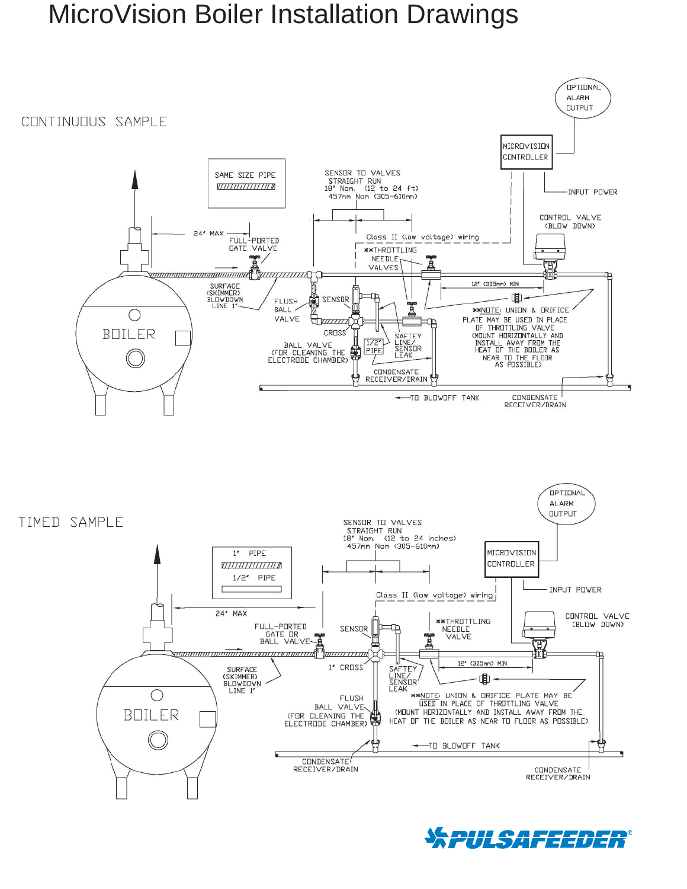# MicroVision Boiler Installation Drawings